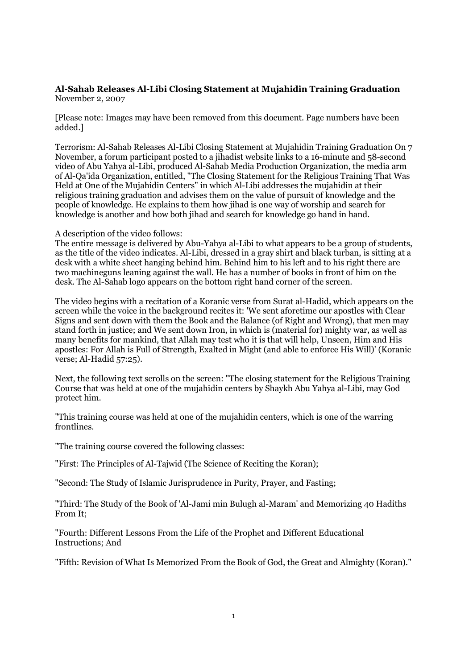## **Al-Sahab Releases Al-Libi Closing Statement at Mujahidin Training Graduation** November 2, 2007

[Please note: Images may have been removed from this document. Page numbers have been added.]

Terrorism: Al-Sahab Releases Al-Libi Closing Statement at Mujahidin Training Graduation On 7 November, a forum participant posted to a jihadist website links to a 16-minute and 58-second video of Abu Yahya al-Libi, produced Al-Sahab Media Production Organization, the media arm of Al-Qa'ida Organization, entitled, "The Closing Statement for the Religious Training That Was Held at One of the Mujahidin Centers" in which Al-Libi addresses the mujahidin at their religious training graduation and advises them on the value of pursuit of knowledge and the people of knowledge. He explains to them how jihad is one way of worship and search for knowledge is another and how both jihad and search for knowledge go hand in hand.

A description of the video follows:

The entire message is delivered by Abu-Yahya al-Libi to what appears to be a group of students, as the title of the video indicates. Al-Libi, dressed in a gray shirt and black turban, is sitting at a desk with a white sheet hanging behind him. Behind him to his left and to his right there are two machineguns leaning against the wall. He has a number of books in front of him on the desk. The Al-Sahab logo appears on the bottom right hand corner of the screen.

The video begins with a recitation of a Koranic verse from Surat al-Hadid, which appears on the screen while the voice in the background recites it: 'We sent aforetime our apostles with Clear Signs and sent down with them the Book and the Balance (of Right and Wrong), that men may stand forth in justice; and We sent down Iron, in which is (material for) mighty war, as well as many benefits for mankind, that Allah may test who it is that will help, Unseen, Him and His apostles: For Allah is Full of Strength, Exalted in Might (and able to enforce His Will)' (Koranic verse; Al-Hadid 57:25).

Next, the following text scrolls on the screen: "The closing statement for the Religious Training Course that was held at one of the mujahidin centers by Shaykh Abu Yahya al-Libi, may God protect him.

"This training course was held at one of the mujahidin centers, which is one of the warring frontlines.

"The training course covered the following classes:

"First: The Principles of Al-Tajwid (The Science of Reciting the Koran);

"Second: The Study of Islamic Jurisprudence in Purity, Prayer, and Fasting;

"Third: The Study of the Book of 'Al-Jami min Bulugh al-Maram' and Memorizing 40 Hadiths From It;

"Fourth: Different Lessons From the Life of the Prophet and Different Educational Instructions; And

"Fifth: Revision of What Is Memorized From the Book of God, the Great and Almighty (Koran)."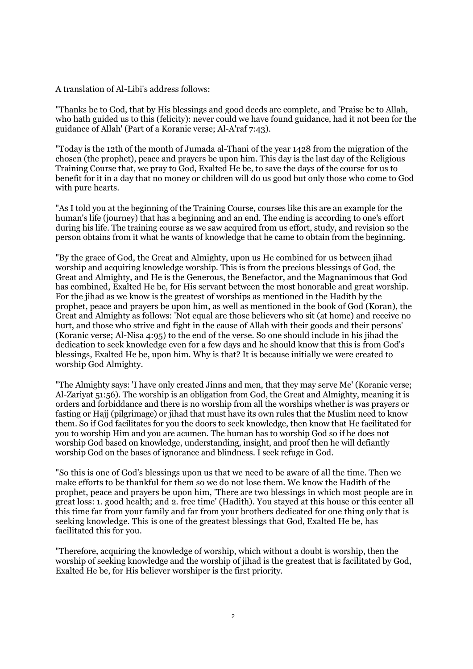A translation of Al-Libi's address follows:

"Thanks be to God, that by His blessings and good deeds are complete, and 'Praise be to Allah, who hath guided us to this (felicity): never could we have found guidance, had it not been for the guidance of Allah' (Part of a Koranic verse; Al-A'raf 7:43).

"Today is the 12th of the month of Jumada al-Thani of the year 1428 from the migration of the chosen (the prophet), peace and prayers be upon him. This day is the last day of the Religious Training Course that, we pray to God, Exalted He be, to save the days of the course for us to benefit for it in a day that no money or children will do us good but only those who come to God with pure hearts.

"As I told you at the beginning of the Training Course, courses like this are an example for the human's life (journey) that has a beginning and an end. The ending is according to one's effort during his life. The training course as we saw acquired from us effort, study, and revision so the person obtains from it what he wants of knowledge that he came to obtain from the beginning.

"By the grace of God, the Great and Almighty, upon us He combined for us between jihad worship and acquiring knowledge worship. This is from the precious blessings of God, the Great and Almighty, and He is the Generous, the Benefactor, and the Magnanimous that God has combined, Exalted He be, for His servant between the most honorable and great worship. For the jihad as we know is the greatest of worships as mentioned in the Hadith by the prophet, peace and prayers be upon him, as well as mentioned in the book of God (Koran), the Great and Almighty as follows: 'Not equal are those believers who sit (at home) and receive no hurt, and those who strive and fight in the cause of Allah with their goods and their persons' (Koranic verse; Al-Nisa 4:95) to the end of the verse. So one should include in his jihad the dedication to seek knowledge even for a few days and he should know that this is from God's blessings, Exalted He be, upon him. Why is that? It is because initially we were created to worship God Almighty.

"The Almighty says: 'I have only created Jinns and men, that they may serve Me' (Koranic verse; Al-Zariyat 51:56). The worship is an obligation from God, the Great and Almighty, meaning it is orders and forbiddance and there is no worship from all the worships whether is was prayers or fasting or Hajj (pilgrimage) or jihad that must have its own rules that the Muslim need to know them. So if God facilitates for you the doors to seek knowledge, then know that He facilitated for you to worship Him and you are acumen. The human has to worship God so if he does not worship God based on knowledge, understanding, insight, and proof then he will defiantly worship God on the bases of ignorance and blindness. I seek refuge in God.

"So this is one of God's blessings upon us that we need to be aware of all the time. Then we make efforts to be thankful for them so we do not lose them. We know the Hadith of the prophet, peace and prayers be upon him, 'There are two blessings in which most people are in great loss: 1. good health; and 2. free time' (Hadith). You stayed at this house or this center all this time far from your family and far from your brothers dedicated for one thing only that is seeking knowledge. This is one of the greatest blessings that God, Exalted He be, has facilitated this for you.

"Therefore, acquiring the knowledge of worship, which without a doubt is worship, then the worship of seeking knowledge and the worship of jihad is the greatest that is facilitated by God, Exalted He be, for His believer worshiper is the first priority.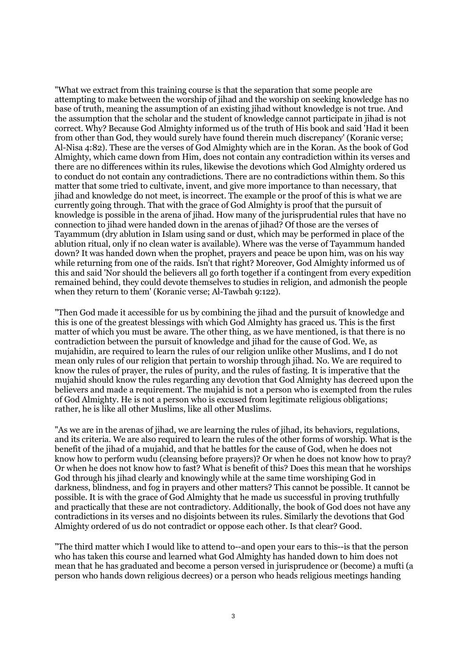"What we extract from this training course is that the separation that some people are attempting to make between the worship of jihad and the worship on seeking knowledge has no base of truth, meaning the assumption of an existing jihad without knowledge is not true. And the assumption that the scholar and the student of knowledge cannot participate in jihad is not correct. Why? Because God Almighty informed us of the truth of His book and said 'Had it been from other than God, they would surely have found therein much discrepancy' (Koranic verse; Al-Nisa 4:82). These are the verses of God Almighty which are in the Koran. As the book of God Almighty, which came down from Him, does not contain any contradiction within its verses and there are no differences within its rules, likewise the devotions which God Almighty ordered us to conduct do not contain any contradictions. There are no contradictions within them. So this matter that some tried to cultivate, invent, and give more importance to than necessary, that jihad and knowledge do not meet, is incorrect. The example or the proof of this is what we are currently going through. That with the grace of God Almighty is proof that the pursuit of knowledge is possible in the arena of jihad. How many of the jurisprudential rules that have no connection to jihad were handed down in the arenas of jihad? Of those are the verses of Tayammum (dry ablution in Islam using sand or dust, which may be performed in place of the ablution ritual, only if no clean water is available). Where was the verse of Tayammum handed down? It was handed down when the prophet, prayers and peace be upon him, was on his way while returning from one of the raids. Isn't that right? Moreover, God Almighty informed us of this and said 'Nor should the believers all go forth together if a contingent from every expedition remained behind, they could devote themselves to studies in religion, and admonish the people when they return to them' (Koranic verse; Al-Tawbah 9:122).

"Then God made it accessible for us by combining the jihad and the pursuit of knowledge and this is one of the greatest blessings with which God Almighty has graced us. This is the first matter of which you must be aware. The other thing, as we have mentioned, is that there is no contradiction between the pursuit of knowledge and jihad for the cause of God. We, as mujahidin, are required to learn the rules of our religion unlike other Muslims, and I do not mean only rules of our religion that pertain to worship through jihad. No. We are required to know the rules of prayer, the rules of purity, and the rules of fasting. It is imperative that the mujahid should know the rules regarding any devotion that God Almighty has decreed upon the believers and made a requirement. The mujahid is not a person who is exempted from the rules of God Almighty. He is not a person who is excused from legitimate religious obligations; rather, he is like all other Muslims, like all other Muslims.

"As we are in the arenas of jihad, we are learning the rules of jihad, its behaviors, regulations, and its criteria. We are also required to learn the rules of the other forms of worship. What is the benefit of the jihad of a mujahid, and that he battles for the cause of God, when he does not know how to perform wudu (cleansing before prayers)? Or when he does not know how to pray? Or when he does not know how to fast? What is benefit of this? Does this mean that he worships God through his jihad clearly and knowingly while at the same time worshiping God in darkness, blindness, and fog in prayers and other matters? This cannot be possible. It cannot be possible. It is with the grace of God Almighty that he made us successful in proving truthfully and practically that these are not contradictory. Additionally, the book of God does not have any contradictions in its verses and no disjoints between its rules. Similarly the devotions that God Almighty ordered of us do not contradict or oppose each other. Is that clear? Good.

"The third matter which I would like to attend to--and open your ears to this--is that the person who has taken this course and learned what God Almighty has handed down to him does not mean that he has graduated and become a person versed in jurisprudence or (become) a mufti (a person who hands down religious decrees) or a person who heads religious meetings handing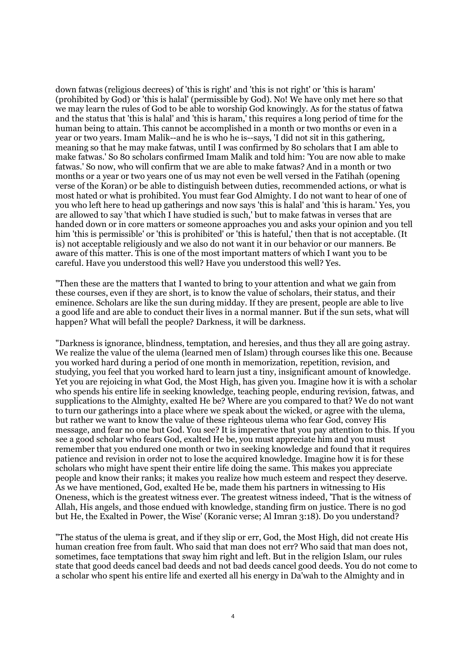down fatwas (religious decrees) of 'this is right' and 'this is not right' or 'this is haram' (prohibited by God) or 'this is halal' (permissible by God). No! We have only met here so that we may learn the rules of God to be able to worship God knowingly. As for the status of fatwa and the status that 'this is halal' and 'this is haram,' this requires a long period of time for the human being to attain. This cannot be accomplished in a month or two months or even in a year or two years. Imam Malik--and he is who he is--says, 'I did not sit in this gathering, meaning so that he may make fatwas, until I was confirmed by 80 scholars that I am able to make fatwas.' So 80 scholars confirmed Imam Malik and told him: 'You are now able to make fatwas.' So now, who will confirm that we are able to make fatwas? And in a month or two months or a year or two years one of us may not even be well versed in the Fatihah (opening verse of the Koran) or be able to distinguish between duties, recommended actions, or what is most hated or what is prohibited. You must fear God Almighty. I do not want to hear of one of you who left here to head up gatherings and now says 'this is halal' and 'this is haram.' Yes, you are allowed to say 'that which I have studied is such,' but to make fatwas in verses that are handed down or in core matters or someone approaches you and asks your opinion and you tell him 'this is permissible' or 'this is prohibited' or 'this is hateful,' then that is not acceptable. (It is) not acceptable religiously and we also do not want it in our behavior or our manners. Be aware of this matter. This is one of the most important matters of which I want you to be careful. Have you understood this well? Have you understood this well? Yes.

"Then these are the matters that I wanted to bring to your attention and what we gain from these courses, even if they are short, is to know the value of scholars, their status, and their eminence. Scholars are like the sun during midday. If they are present, people are able to live a good life and are able to conduct their lives in a normal manner. But if the sun sets, what will happen? What will befall the people? Darkness, it will be darkness.

"Darkness is ignorance, blindness, temptation, and heresies, and thus they all are going astray. We realize the value of the ulema (learned men of Islam) through courses like this one. Because you worked hard during a period of one month in memorization, repetition, revision, and studying, you feel that you worked hard to learn just a tiny, insignificant amount of knowledge. Yet you are rejoicing in what God, the Most High, has given you. Imagine how it is with a scholar who spends his entire life in seeking knowledge, teaching people, enduring revision, fatwas, and supplications to the Almighty, exalted He be? Where are you compared to that? We do not want to turn our gatherings into a place where we speak about the wicked, or agree with the ulema, but rather we want to know the value of these righteous ulema who fear God, convey His message, and fear no one but God. You see? It is imperative that you pay attention to this. If you see a good scholar who fears God, exalted He be, you must appreciate him and you must remember that you endured one month or two in seeking knowledge and found that it requires patience and revision in order not to lose the acquired knowledge. Imagine how it is for these scholars who might have spent their entire life doing the same. This makes you appreciate people and know their ranks; it makes you realize how much esteem and respect they deserve. As we have mentioned, God, exalted He be, made them his partners in witnessing to His Oneness, which is the greatest witness ever. The greatest witness indeed, 'That is the witness of Allah, His angels, and those endued with knowledge, standing firm on justice. There is no god but He, the Exalted in Power, the Wise' (Koranic verse; Al Imran 3:18). Do you understand?

"The status of the ulema is great, and if they slip or err, God, the Most High, did not create His human creation free from fault. Who said that man does not err? Who said that man does not, sometimes, face temptations that sway him right and left. But in the religion Islam, our rules state that good deeds cancel bad deeds and not bad deeds cancel good deeds. You do not come to a scholar who spent his entire life and exerted all his energy in Da'wah to the Almighty and in